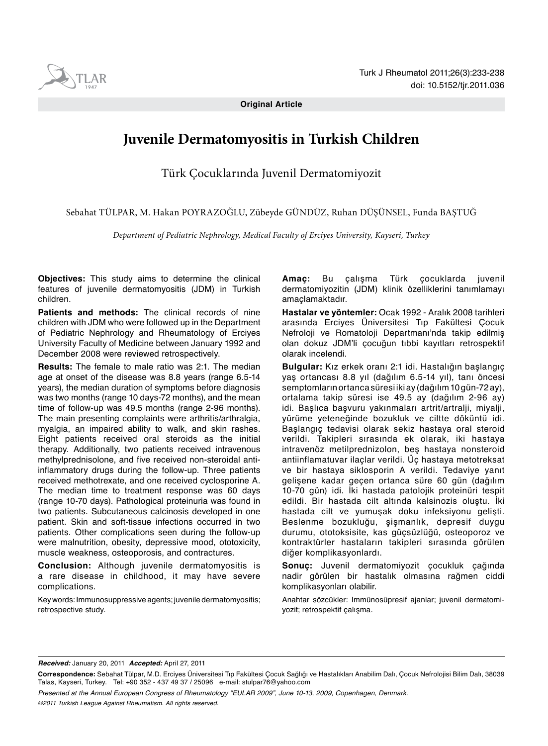

**Original Article**

# **Juvenile Dermatomyositis in Turkish Children**

Türk Çocuklarında Juvenil Dermatomiyozit

Sebahat TÜLPAR, M. Hakan POYRAZOĞLU, Zübeyde GÜNDÜZ, Ruhan DÜŞÜNSEL, Funda BAŞTUĞ

*Department of Pediatric Nephrology, Medical Faculty of Erciyes University, Kayseri, Turkey*

**Objectives:** This study aims to determine the clinical features of juvenile dermatomyositis (JDM) in Turkish children.

**Patients and methods:** The clinical records of nine children with JDM who were followed up in the Department of Pediatric Nephrology and Rheumatology of Erciyes University Faculty of Medicine between January 1992 and December 2008 were reviewed retrospectively.

**Results:** The female to male ratio was 2:1. The median age at onset of the disease was 8.8 years (range 6.5-14 years), the median duration of symptoms before diagnosis was two months (range 10 days-72 months), and the mean time of follow-up was 49.5 months (range 2-96 months). The main presenting complaints were arthritis/arthralgia, myalgia, an impaired ability to walk, and skin rashes. Eight patients received oral steroids as the initial therapy. Additionally, two patients received intravenous methylprednisolone, and five received non-steroidal antiinflammatory drugs during the follow-up. Three patients received methotrexate, and one received cyclosporine A. The median time to treatment response was 60 days (range 10-70 days). Pathological proteinuria was found in two patients. Subcutaneous calcinosis developed in one patient. Skin and soft-tissue infections occurred in two patients. Other complications seen during the follow-up were malnutrition, obesity, depressive mood, ototoxicity, muscle weakness, osteoporosis, and contractures.

**Conclusion:** Although juvenile dermatomyositis is a rare disease in childhood, it may have severe complications.

Key words: Immunosuppressive agents; juvenile dermatomyositis; retrospective study.

**Amaç:** Bu çalışma Türk çocuklarda juvenil dermatomiyozitin (JDM) klinik özelliklerini tanımlamayı amaçlamaktadır.

**Hastalar ve yöntemler:** Ocak 1992 - Aralık 2008 tarihleri arasında Erciyes Üniversitesi Tıp Fakültesi Çocuk Nefroloji ve Romatoloji Departmanı'nda takip edilmiş olan dokuz JDM'li çocuğun tıbbi kayıtları retrospektif olarak incelendi.

**Bulgular:** Kız erkek oranı 2:1 idi. Hastalığın başlangıç yaş ortancası 8.8 yıl (dağılım 6.5-14 yıl), tanı öncesi semptomların ortanca süresi iki ay (dağılım 10 gün-72 ay), ortalama takip süresi ise 49.5 ay (dağılım 2-96 ay) idi. Başlıca başvuru yakınmaları artrit/artralji, miyalji, yürüme yeteneğinde bozukluk ve ciltte döküntü idi. Başlangıç tedavisi olarak sekiz hastaya oral steroid verildi. Takipleri sırasında ek olarak, iki hastaya intravenöz metilprednizolon, beş hastaya nonsteroid antiinflamatuvar ilaçlar verildi. Üç hastaya metotreksat ve bir hastaya siklosporin A verildi. Tedaviye yanıt gelişene kadar geçen ortanca süre 60 gün (dağılım 10-70 gün) idi. İki hastada patolojik proteinüri tespit edildi. Bir hastada cilt altında kalsinozis oluştu. İki hastada cilt ve yumuşak doku infeksiyonu gelişti. Beslenme bozukluğu, şişmanlık, depresif duygu durumu, ototoksisite, kas güçsüzlüğü, osteoporoz ve kontraktürler hastaların takipleri sırasında görülen diğer komplikasyonlardı.

**Sonuç:** Juvenil dermatomiyozit çocukluk çağında nadir görülen bir hastalık olmasına rağmen ciddi komplikasyonları olabilir.

Anahtar sözcükler: Immünosüpresif ajanlar; juvenil dermatomiyozit; retrospektif çalışma.

*Received:* January 20, 2011 *Accepted:* April 27, 2011

*Presented at the Annual European Congress of Rheumatology "EULAR 2009", June 10-13, 2009, Copenhagen, Denmark. ©2011 Turkish League Against Rheumatism. All rights reserved.*

**Correspondence:** Sebahat Tülpar, M.D. Erciyes Üniversitesi Tıp Fakültesi Çocuk Sağlığı ve Hastalıkları Anabilim Dalı, Çocuk Nefrolojisi Bilim Dalı, 38039 Talas, Kayseri, Turkey. Tel: +90 352 - 437 49 37 / 25096 e-mail: stulpar76@yahoo.com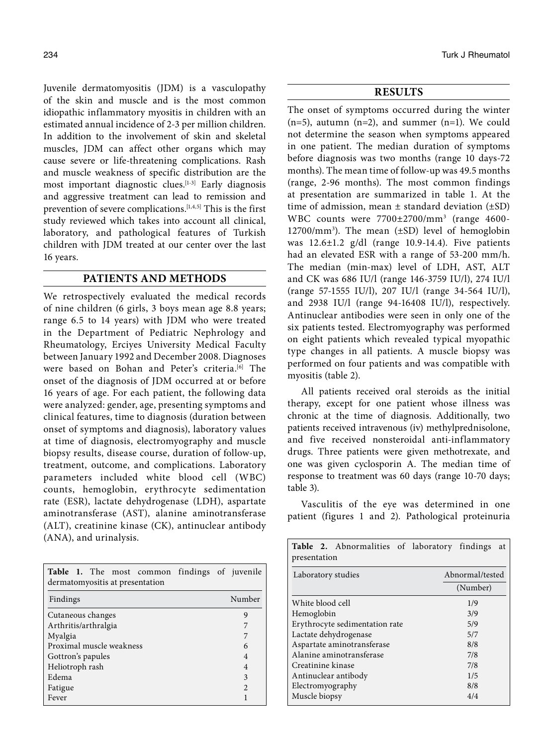Juvenile dermatomyositis (JDM) is a vasculopathy of the skin and muscle and is the most common idiopathic inflammatory myositis in children with an estimated annual incidence of 2-3 per million children. In addition to the involvement of skin and skeletal muscles, JDM can affect other organs which may cause severe or life-threatening complications. Rash and muscle weakness of specific distribution are the most important diagnostic clues.<sup>[1-3]</sup> Early diagnosis and aggressive treatment can lead to remission and prevention of severe complications.<sup>[1,4,5]</sup> This is the first study reviewed which takes into account all clinical, laboratory, and pathological features of Turkish children with JDM treated at our center over the last 16 years.

## **PATIENTS AND METHODS**

We retrospectively evaluated the medical records of nine children (6 girls, 3 boys mean age 8.8 years; range 6.5 to 14 years) with JDM who were treated in the Department of Pediatric Nephrology and Rheumatology, Erciyes University Medical Faculty between January 1992 and December 2008. Diagnoses were based on Bohan and Peter's criteria.<sup>[6]</sup> The onset of the diagnosis of JDM occurred at or before 16 years of age. For each patient, the following data were analyzed: gender, age, presenting symptoms and clinical features, time to diagnosis (duration between onset of symptoms and diagnosis), laboratory values at time of diagnosis, electromyography and muscle biopsy results, disease course, duration of follow-up, treatment, outcome, and complications. Laboratory parameters included white blood cell (WBC) counts, hemoglobin, erythrocyte sedimentation rate (ESR), lactate dehydrogenase (LDH), aspartate aminotransferase (AST), alanine aminotransferase (ALT), creatinine kinase (CK), antinuclear antibody (ANA), and urinalysis.

| Table 1. The most common findings of juvenile<br>dermatomyositis at presentation |                |
|----------------------------------------------------------------------------------|----------------|
| Findings                                                                         | Number         |
| Cutaneous changes                                                                | 9              |
| Arthritis/arthralgia                                                             | 7              |
| Myalgia                                                                          | 7              |
| Proximal muscle weakness                                                         | 6              |
| Gottron's papules                                                                | $\overline{4}$ |
| Heliotroph rash                                                                  | $\overline{4}$ |
| Edema                                                                            | 3              |
| Fatigue                                                                          | $\overline{2}$ |
| Fever                                                                            |                |

## **RESULTS**

The onset of symptoms occurred during the winter  $(n=5)$ , autumn  $(n=2)$ , and summer  $(n=1)$ . We could not determine the season when symptoms appeared in one patient. The median duration of symptoms before diagnosis was two months (range 10 days-72 months). The mean time of follow-up was 49.5 months (range, 2-96 months). The most common findings at presentation are summarized in table 1. At the time of admission, mean  $\pm$  standard deviation ( $\pm$ SD) WBC counts were 7700±2700/mm3 (range 4600- 12700/mm3 ). The mean (±SD) level of hemoglobin was 12.6±1.2 g/dl (range 10.9-14.4). Five patients had an elevated ESR with a range of 53-200 mm/h. The median (min-max) level of LDH, AST, ALT and CK was 686 IU/l (range 146-3759 IU/l), 274 IU/l (range 57-1555 IU/l), 207 IU/l (range 34-564 IU/l), and 2938 IU/l (range 94-16408 IU/l), respectively. Antinuclear antibodies were seen in only one of the six patients tested. Electromyography was performed on eight patients which revealed typical myopathic type changes in all patients. A muscle biopsy was performed on four patients and was compatible with myositis (table 2).

All patients received oral steroids as the initial therapy, except for one patient whose illness was chronic at the time of diagnosis. Additionally, two patients received intravenous (iv) methylprednisolone, and five received nonsteroidal anti-inflammatory drugs. Three patients were given methotrexate, and one was given cyclosporin A. The median time of response to treatment was 60 days (range 10-70 days; table 3).

Vasculitis of the eye was determined in one patient (figures 1 and 2). Pathological proteinuria

| Table 2. Abnormalities of laboratory findings<br>presentation | at              |  |  |  |
|---------------------------------------------------------------|-----------------|--|--|--|
| Laboratory studies                                            | Abnormal/tested |  |  |  |
|                                                               | (Number)        |  |  |  |
| White blood cell                                              | 1/9             |  |  |  |
| Hemoglobin                                                    | 3/9             |  |  |  |
| Erythrocyte sedimentation rate                                | 5/9             |  |  |  |
| Lactate dehydrogenase                                         | 5/7             |  |  |  |
| Aspartate aminotransferase                                    | 8/8             |  |  |  |
| Alanine aminotransferase                                      | 7/8             |  |  |  |
| Creatinine kinase                                             | 7/8             |  |  |  |
| Antinuclear antibody                                          | 1/5             |  |  |  |
| Electromyography                                              | 8/8             |  |  |  |
| Muscle biopsy                                                 | 4/4             |  |  |  |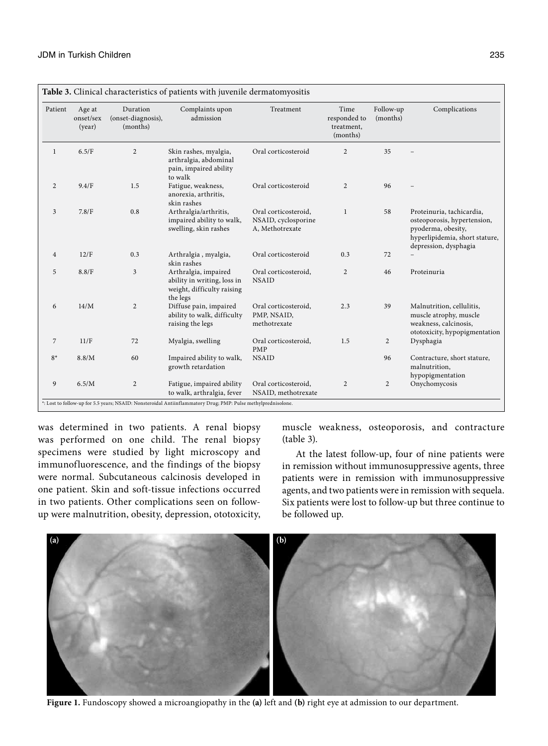| Patient        | Age at<br>onset/sex<br>(year) | Duration<br>(onset-diagnosis),<br>(months) | Complaints upon<br>admission                                                                  | Treatment                                                      | Time<br>responded to<br>treatment,<br>(months) | Follow-up<br>(months) | Complications                                                                                                                             |
|----------------|-------------------------------|--------------------------------------------|-----------------------------------------------------------------------------------------------|----------------------------------------------------------------|------------------------------------------------|-----------------------|-------------------------------------------------------------------------------------------------------------------------------------------|
| $\mathbf{1}$   | 6.5/F                         | 2                                          | Skin rashes, myalgia,<br>arthralgia, abdominal<br>pain, impaired ability<br>to walk           | Oral corticosteroid                                            | $\overline{2}$                                 | 35                    |                                                                                                                                           |
| $\overline{c}$ | 9.4/F                         | 1.5                                        | Fatigue, weakness,<br>anorexia, arthritis,<br>skin rashes                                     | Oral corticosteroid                                            | $\overline{2}$                                 | 96                    |                                                                                                                                           |
| 3              | 7.8/F                         | 0.8                                        | Arthralgia/arthritis,<br>impaired ability to walk,<br>swelling, skin rashes                   | Oral corticosteroid,<br>NSAID, cyclosporine<br>A, Methotrexate | $\mathbf{1}$                                   | 58                    | Proteinuria, tachicardia,<br>osteoporosis, hypertension,<br>pyoderma, obesity,<br>hyperlipidemia, short stature,<br>depression, dysphagia |
| $\overline{4}$ | 12/F                          | 0.3                                        | Arthralgia, myalgia,<br>skin rashes                                                           | Oral corticosteroid                                            | 0.3                                            | 72                    |                                                                                                                                           |
| 5              | 8.8/F                         | $\overline{3}$                             | Arthralgia, impaired<br>ability in writing, loss in<br>weight, difficulty raising<br>the legs | Oral corticosteroid,<br><b>NSAID</b>                           | $\overline{2}$                                 | 46                    | Proteinuria                                                                                                                               |
| 6              | 14/M                          | 2                                          | Diffuse pain, impaired<br>ability to walk, difficulty<br>raising the legs                     | Oral corticosteroid,<br>PMP, NSAID,<br>methotrexate            | 2.3                                            | 39                    | Malnutrition, cellulitis,<br>muscle atrophy, muscle<br>weakness, calcinosis,<br>ototoxicity, hypopigmentation                             |
| $\overline{7}$ | 11/F                          | 72                                         | Myalgia, swelling                                                                             | Oral corticosteroid,<br><b>PMP</b>                             | 1.5                                            | $\overline{2}$        | Dysphagia                                                                                                                                 |
| $8*$           | 8.8/M                         | 60                                         | Impaired ability to walk,<br>growth retardation                                               | <b>NSAID</b>                                                   |                                                | 96                    | Contracture, short stature,<br>malnutrition,<br>hypopigmentation                                                                          |
| 9              | 6.5/M                         | 2                                          | Fatigue, impaired ability<br>to walk, arthralgia, fever                                       | Oral corticosteroid,<br>NSAID, methotrexate                    | $\overline{2}$                                 | $\overline{2}$        | Onychomycosis                                                                                                                             |

was determined in two patients. A renal biopsy was performed on one child. The renal biopsy specimens were studied by light microscopy and immunofluorescence, and the findings of the biopsy were normal. Subcutaneous calcinosis developed in one patient. Skin and soft-tissue infections occurred in two patients. Other complications seen on followup were malnutrition, obesity, depression, ototoxicity, muscle weakness, osteoporosis, and contracture (table 3).

At the latest follow-up, four of nine patients were in remission without immunosuppressive agents, three patients were in remission with immunosuppressive agents, and two patients were in remission with sequela. Six patients were lost to follow-up but three continue to be followed up.



**Figure 1.** Fundoscopy showed a microangiopathy in the **(a)** left and **(b)** right eye at admission to our department.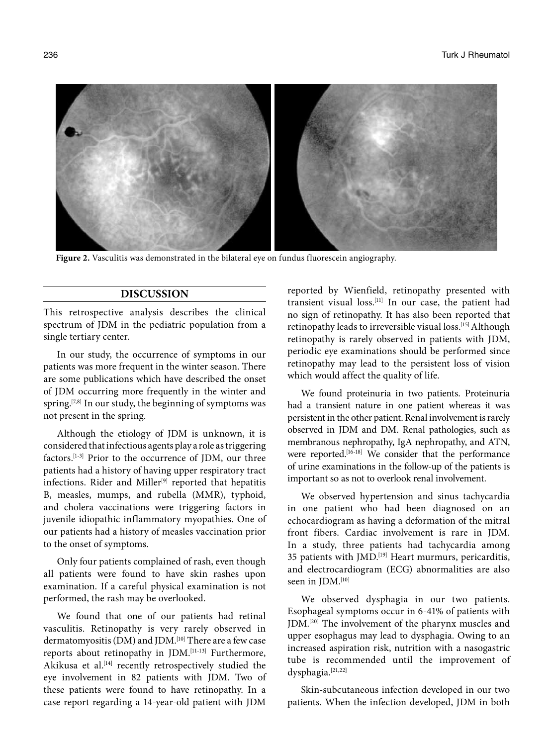**Figure 2.** Vasculitis was demonstrated in the bilateral eye on fundus fluorescein angiography.

# **DISCUSSION**

This retrospective analysis describes the clinical spectrum of JDM in the pediatric population from a single tertiary center.

In our study, the occurrence of symptoms in our patients was more frequent in the winter season. There are some publications which have described the onset of JDM occurring more frequently in the winter and spring.<sup>[7,8]</sup> In our study, the beginning of symptoms was not present in the spring.

Although the etiology of JDM is unknown, it is considered that infectious agents play a role as triggering factors.[1-3] Prior to the occurrence of JDM, our three patients had a history of having upper respiratory tract infections. Rider and Miller<sup>[9]</sup> reported that hepatitis B, measles, mumps, and rubella (MMR), typhoid, and cholera vaccinations were triggering factors in juvenile idiopathic inflammatory myopathies. One of our patients had a history of measles vaccination prior to the onset of symptoms.

Only four patients complained of rash, even though all patients were found to have skin rashes upon examination. If a careful physical examination is not performed, the rash may be overlooked.

We found that one of our patients had retinal vasculitis. Retinopathy is very rarely observed in dermatomyositis (DM) and JDM.<sup>[10]</sup> There are a few case reports about retinopathy in JDM.[11-13] Furthermore, Akikusa et al.<sup>[14]</sup> recently retrospectively studied the eye involvement in 82 patients with JDM. Two of these patients were found to have retinopathy. In a case report regarding a 14-year-old patient with JDM reported by Wienfield, retinopathy presented with transient visual loss.[11] In our case, the patient had no sign of retinopathy. It has also been reported that retinopathy leads to irreversible visual loss.[15] Although retinopathy is rarely observed in patients with JDM, periodic eye examinations should be performed since retinopathy may lead to the persistent loss of vision which would affect the quality of life.

We found proteinuria in two patients. Proteinuria had a transient nature in one patient whereas it was persistent in the other patient. Renal involvement is rarely observed in JDM and DM. Renal pathologies, such as membranous nephropathy, IgA nephropathy, and ATN, were reported.[16-18] We consider that the performance of urine examinations in the follow-up of the patients is important so as not to overlook renal involvement.

We observed hypertension and sinus tachycardia in one patient who had been diagnosed on an echocardiogram as having a deformation of the mitral front fibers. Cardiac involvement is rare in JDM. In a study, three patients had tachycardia among 35 patients with JMD.[19] Heart murmurs, pericarditis, and electrocardiogram (ECG) abnormalities are also seen in JDM.<sup>[10]</sup>

We observed dysphagia in our two patients. Esophageal symptoms occur in 6-41% of patients with JDM.[20] The involvement of the pharynx muscles and upper esophagus may lead to dysphagia. Owing to an increased aspiration risk, nutrition with a nasogastric tube is recommended until the improvement of dysphagia.[21,22]

Skin-subcutaneous infection developed in our two patients. When the infection developed, JDM in both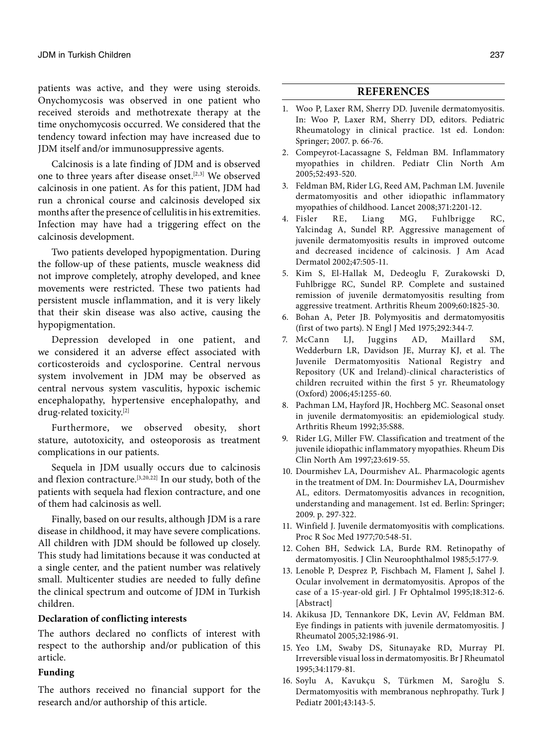patients was active, and they were using steroids. Onychomycosis was observed in one patient who received steroids and methotrexate therapy at the time onychomycosis occurred. We considered that the tendency toward infection may have increased due to JDM itself and/or immunosuppressive agents.

Calcinosis is a late finding of JDM and is observed one to three years after disease onset.<sup>[2,3]</sup> We observed calcinosis in one patient. As for this patient, JDM had run a chronical course and calcinosis developed six months after the presence of cellulitis in his extremities. Infection may have had a triggering effect on the calcinosis development.

Two patients developed hypopigmentation. During the follow-up of these patients, muscle weakness did not improve completely, atrophy developed, and knee movements were restricted. These two patients had persistent muscle inflammation, and it is very likely that their skin disease was also active, causing the hypopigmentation.

Depression developed in one patient, and we considered it an adverse effect associated with corticosteroids and cyclosporine. Central nervous system involvement in JDM may be observed as central nervous system vasculitis, hypoxic ischemic encephalopathy, hypertensive encephalopathy, and drug-related toxicity.[2]

Furthermore, we observed obesity, short stature, autotoxicity, and osteoporosis as treatment complications in our patients.

Sequela in JDM usually occurs due to calcinosis and flexion contracture.[3,20,22] In our study, both of the patients with sequela had flexion contracture, and one of them had calcinosis as well.

Finally, based on our results, although JDM is a rare disease in childhood, it may have severe complications. All children with JDM should be followed up closely. This study had limitations because it was conducted at a single center, and the patient number was relatively small. Multicenter studies are needed to fully define the clinical spectrum and outcome of JDM in Turkish children.

### **Declaration of conflicting interests**

The authors declared no conflicts of interest with respect to the authorship and/or publication of this article.

### **Funding**

The authors received no financial support for the research and/or authorship of this article.

# **REFERENCES**

- 1. Woo P, Laxer RM, Sherry DD. Juvenile dermatomyositis. In: Woo P, Laxer RM, Sherry DD, editors. Pediatric Rheumatology in clinical practice. 1st ed. London: Springer; 2007. p. 66-76.
- 2. Compeyrot-Lacassagne S, Feldman BM. Inflammatory myopathies in children. Pediatr Clin North Am 2005;52:493-520.
- 3. Feldman BM, Rider LG, Reed AM, Pachman LM. Juvenile dermatomyositis and other idiopathic inflammatory myopathies of childhood. Lancet 2008;371:2201-12.
- 4. Fisler RE, Liang MG, Fuhlbrigge RC, Yalcindag A, Sundel RP. Aggressive management of juvenile dermatomyositis results in improved outcome and decreased incidence of calcinosis. J Am Acad Dermatol 2002;47:505-11.
- 5. Kim S, El-Hallak M, Dedeoglu F, Zurakowski D, Fuhlbrigge RC, Sundel RP. Complete and sustained remission of juvenile dermatomyositis resulting from aggressive treatment. Arthritis Rheum 2009;60:1825-30.
- 6. Bohan A, Peter JB. Polymyositis and dermatomyositis (first of two parts). N Engl J Med 1975;292:344-7.
- 7. McCann LJ, Juggins AD, Maillard SM, Wedderburn LR, Davidson JE, Murray KJ, et al. The Juvenile Dermatomyositis National Registry and Repository (UK and Ireland)-clinical characteristics of children recruited within the first 5 yr. Rheumatology (Oxford) 2006;45:1255-60.
- 8. Pachman LM, Hayford JR, Hochberg MC. Seasonal onset in juvenile dermatomyositis: an epidemiological study. Arthritis Rheum 1992;35:S88.
- 9. Rider LG, Miller FW. Classification and treatment of the juvenile idiopathic inflammatory myopathies. Rheum Dis Clin North Am 1997;23:619-55.
- 10. Dourmishev LA, Dourmishev AL. Pharmacologic agents in the treatment of DM. In: Dourmishev LA, Dourmishev AL, editors. Dermatomyositis advances in recognition, understanding and management. 1st ed. Berlin: Springer; 2009. p. 297-322.
- 11. Winfield J. Juvenile dermatomyositis with complications. Proc R Soc Med 1977;70:548-51.
- 12. Cohen BH, Sedwick LA, Burde RM. Retinopathy of dermatomyositis. J Clin Neuroophthalmol 1985;5:177-9.
- 13. Lenoble P, Desprez P, Fischbach M, Flament J, Sahel J. Ocular involvement in dermatomyositis. Apropos of the case of a 15-year-old girl. J Fr Ophtalmol 1995;18:312-6. [Abstract]
- 14. Akikusa JD, Tennankore DK, Levin AV, Feldman BM. Eye findings in patients with juvenile dermatomyositis. J Rheumatol 2005;32:1986-91.
- 15. Yeo LM, Swaby DS, Situnayake RD, Murray PI. Irreversible visual loss in dermatomyositis. Br J Rheumatol 1995;34:1179-81.
- 16. Soylu A, Kavukçu S, Türkmen M, Saroğlu S. Dermatomyositis with membranous nephropathy. Turk J Pediatr 2001;43:143-5.